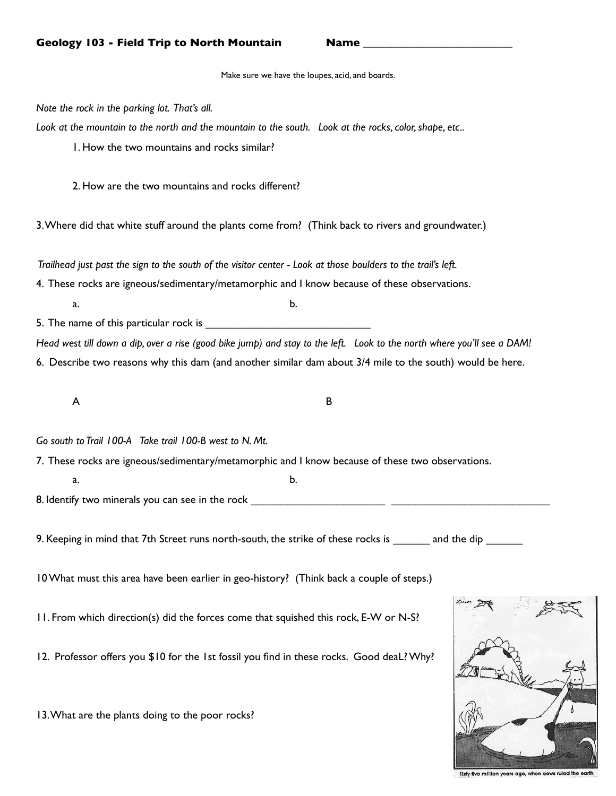Make sure we have the loupes, acid, and boards.

*Note the rock in the parking lot. That's all.*

*Look at the mountain to the north and the mountain to the south. Look at the rocks, color, shape, etc..* 

1. How the two mountains and rocks similar?

2. How are the two mountains and rocks different?

3. Where did that white stuff around the plants come from? (Think back to rivers and groundwater.)

 *Trailhead just past the sign to the south of the visitor center - Look at those boulders to the trail's left.* 

4. These rocks are igneous/sedimentary/metamorphic and I know because of these observations.

 $a.$   $b.$ 

5. The name of this particular rock is

*Head west till down a dip, over a rise (good bike jump) and stay to the left. Look to the north where you'll see a DAM!* 6. Describe two reasons why this dam (and another similar dam about 3/4 mile to the south) would be here.

 $\mathsf A$   $\qquad \qquad \mathsf B$ 

*Go south to Trail 100-A Take trail 100-B west to N. Mt.* 

 $a.$   $b.$ 

7. These rocks are igneous/sedimentary/metamorphic and I know because of these two observations.

8. Identify two minerals you can see in the rock

9. Keeping in mind that 7th Street runs north-south, the strike of these rocks is and the dip  $\blacksquare$ 

10 What must this area have been earlier in geo-history? (Think back a couple of steps.)

11. From which direction(s) did the forces come that squished this rock, E-W or N-S?

12. Professor offers you \$10 for the 1st fossil you find in these rocks. Good deaL? Why?

13. What are the plants doing to the poor rocks?



five million years ago, when cows ruled the